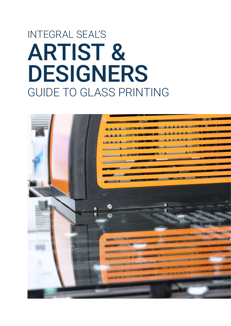# ARTIST & DESIGNERS GUIDE TO GLASS PRINTING INTEGRAL SEAL'S

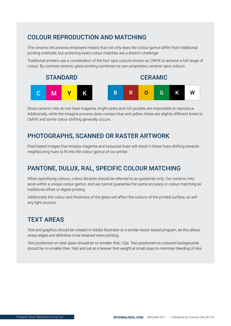# COLOUR REPRODUCTION AND MATCHING

The ceramic ink process employed means that not only does the colour gamut differ from traditional printing methods, but achieving exact colour matches are a distinct challenge.

Traditional printers use a combination of the four spot colours known as CMYK to achieve a full range of colour. By contrast ceramic glass printing combines its own proprietary ceramic spot colours.



Since ceramic inks do not have magenta, bright pinks and rich purples are impossible to reproduce. Additionally, while the ImagInk process does contain blue and yellow, these are slightly different tones to CMYK and some colour shifting generally occurs.

## PHOTOGRAPHS, SCANNED OR RASTER ARTWORK

Pixel based images that employ magenta and turquoise hues will result in these hues shifting towards neighbouring hues to fit into the colour gamut of our printer.

# PANTONE, DULUX, RAL, SPECIFIC COLOUR MATCHING

When specifiying colours, colour libraries should be referred to as guidelines only. Our ceramic inks work within a unique colour gamut, and we cannot guarantee the same accuracy in colour matching as traditional offset or digital printing.

Additionally the colour and thickness of the glass will affect the colours of the printed surface, as will any light sources.

# TEXT AREAS

Text and graphics should be created in Adobe Illustrator or a similar vector based program, as this allows sharp edges and definition to be retained when printing.

Text positioned on clear glass should be no smaller than 12pt. Text positioned on coloured backgrounds should be no smaller than 14pt and set at a heavier font weight at small sizes to minimise bleeding of inks.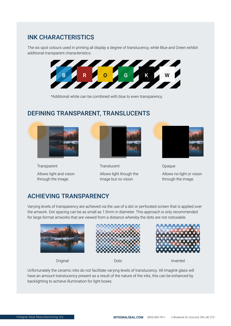## INK CHARACTERISTICS

The six spot colours used in printing all display a degree of translucency, while Blue and Green exhibit additional transparent characteristics.



\*Additional white can be combined with blue to even transparency.

#### DEFINING TRANSPARENT, TRANSLUCENTS



**Transparent** Allows light and vision through the image.



**Translucent** Allows light though the image but no vision.



Opaque Allows no light or vision through the image.

# ACHIEVING TRANSPARENCY

Varying levels of transparency are achieved via the use of a dot or perforated screen that is applied over the artwork. Dot spacing can be as small as 1.5mm in diameter. This approach is only recommended for large format artworks that are viewed from a distance whereby the dots are not noticeable.



**Original** 







Dots Inverted

Unfortunately the ceramic inks do not facilitate varying levels of translucency. All ImagInk glass will have an amount translucency present as a result of the nature of the inks, this can be enhanced by backlighting to achieve illumination for light boxes.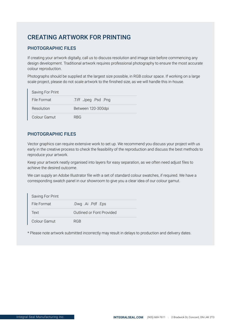# CREATING ARTWORK FOR PRINTING

#### PHOTOGRAPHIC FILES

If creating your artwork digitally, call us to discuss resolution and image size before commencing any design development. Traditional artwork requires professional photography to ensure the most accurate colour reproduction.

Photographs should be supplied at the largest size possible, in RGB colour space. If working on a large scale project, please do not scale artwork to the finished size, as we will handle this in-house.

| Saving For Print |                       |
|------------------|-----------------------|
| File Format      | .Tiff .Jpeg .Psd .Png |
| Resolution       | Between 120-300dpi    |
| Colour Gamut     | <b>RBG</b>            |

#### PHOTOGRAPHIC FILES

Vector graphics can require extensive work to set up. We recommend you discuss your project with us early in the creative process to check the feasibility of the reproduction and discuss the best methods to reproduce your artwork.

Keep your artwork neatly organised into layers for easy separation, as we often need adjust files to achieve the desired outcome.

We can supply an Adobe Illustrator file with a set of standard colour swatches, if required. We have a corresponding swatch panel in our showroom to give you a clear idea of our colour gamut.

| Saving For Print |                           |
|------------------|---------------------------|
| File Format      | .Dwg .Ai .Pdf .Eps        |
| Text             | Outlined or Font Provided |
| Colour Gamut     | RGR                       |

\* Please note artwork submitted incorrectly may result in delays to production and delivery dates.